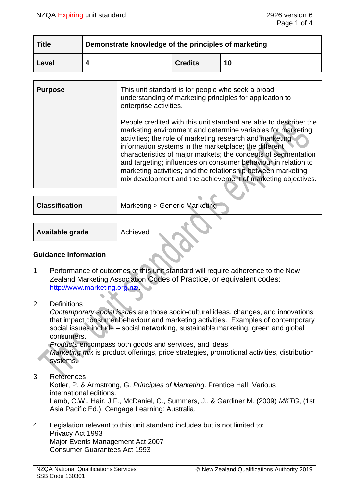| <b>Title</b> | Demonstrate knowledge of the principles of marketing |                |    |  |
|--------------|------------------------------------------------------|----------------|----|--|
| Level        |                                                      | <b>Credits</b> | 10 |  |

| <b>Purpose</b> | This unit standard is for people who seek a broad<br>understanding of marketing principles for application to<br>enterprise activities.                                                                                                                                                                                                                                                                                                                                                                                   |
|----------------|---------------------------------------------------------------------------------------------------------------------------------------------------------------------------------------------------------------------------------------------------------------------------------------------------------------------------------------------------------------------------------------------------------------------------------------------------------------------------------------------------------------------------|
|                | People credited with this unit standard are able to describe: the<br>marketing environment and determine variables for marketing<br>activities; the role of marketing research and marketing<br>information systems in the marketplace; the different<br>characteristics of major markets; the concepts of segmentation<br>and targeting; influences on consumer behaviour in relation to<br>marketing activities; and the relationship between marketing<br>mix development and the achievement of marketing objectives. |

| <b>Classification</b> | Marketing > Generic Marketing |
|-----------------------|-------------------------------|
|                       |                               |

| Available grade | Achieved |  |
|-----------------|----------|--|
|                 |          |  |

### **Guidance Information**

- 1 Performance of outcomes of this unit standard will require adherence to the New Zealand Marketing Association Codes of Practice, or equivalent codes: [http://www.marketing.org.nz/.](http://www.marketing.org.nz/)
- 2 Definitions

*Contemporary social issues* are those socio-cultural ideas, changes, and innovations that impact consumer behaviour and marketing activities. Examples of contemporary social issues include – social networking, sustainable marketing, green and global consumers.

*Products* encompass both goods and services, and ideas.

*Marketing mix* is product offerings, price strategies, promotional activities, distribution systems.

3 References

Kotler, P. & Armstrong, G. *Principles of Marketing*. Prentice Hall: Various international editions.

Lamb, C.W., Hair, J.F., McDaniel, C., Summers, J., & Gardiner M. (2009) *MKTG*, (1st Asia Pacific Ed.). Cengage Learning: Australia.

4 Legislation relevant to this unit standard includes but is not limited to: Privacy Act 1993 Major Events Management Act 2007 Consumer Guarantees Act 1993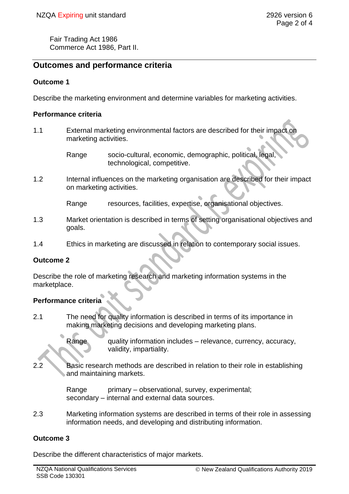Fair Trading Act 1986 Commerce Act 1986, Part II.

# **Outcomes and performance criteria**

### **Outcome 1**

Describe the marketing environment and determine variables for marketing activities.

### **Performance criteria**

- 1.1 External marketing environmental factors are described for their impact on marketing activities.
	- Range socio-cultural, economic, demographic, political, legal, technological, competitive.
- 1.2 Internal influences on the marketing organisation are described for their impact on marketing activities.

Range resources, facilities, expertise, organisational objectives.

- 1.3 Market orientation is described in terms of setting organisational objectives and goals.
- 1.4 Ethics in marketing are discussed in relation to contemporary social issues.

### **Outcome 2**

Describe the role of marketing research and marketing information systems in the marketplace.

## **Performance criteria**

2.1 The need for quality information is described in terms of its importance in making marketing decisions and developing marketing plans.

> Range quality information includes – relevance, currency, accuracy, validity, impartiality.

2.2 Basic research methods are described in relation to their role in establishing and maintaining markets.

> Range primary – observational, survey, experimental; secondary – internal and external data sources.

2.3 Marketing information systems are described in terms of their role in assessing information needs, and developing and distributing information.

### **Outcome 3**

Describe the different characteristics of major markets.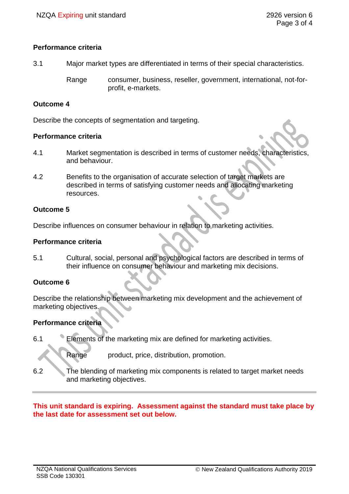### **Performance criteria**

3.1 Major market types are differentiated in terms of their special characteristics.

Range consumer, business, reseller, government, international, not-forprofit, e-markets.

### **Outcome 4**

Describe the concepts of segmentation and targeting.

#### **Performance criteria**

- 4.1 Market segmentation is described in terms of customer needs, characteristics, and behaviour.
- 4.2 Benefits to the organisation of accurate selection of target markets are described in terms of satisfying customer needs and allocating marketing resources.

### **Outcome 5**

Describe influences on consumer behaviour in relation to marketing activities.

### **Performance criteria**

5.1 Cultural, social, personal and psychological factors are described in terms of their influence on consumer behaviour and marketing mix decisions.

### **Outcome 6**

Describe the relationship between marketing mix development and the achievement of marketing objectives.

### **Performance criteria**

6.1 Elements of the marketing mix are defined for marketing activities.

Range product, price, distribution, promotion.

6.2 The blending of marketing mix components is related to target market needs and marketing objectives.

### **This unit standard is expiring. Assessment against the standard must take place by the last date for assessment set out below.**